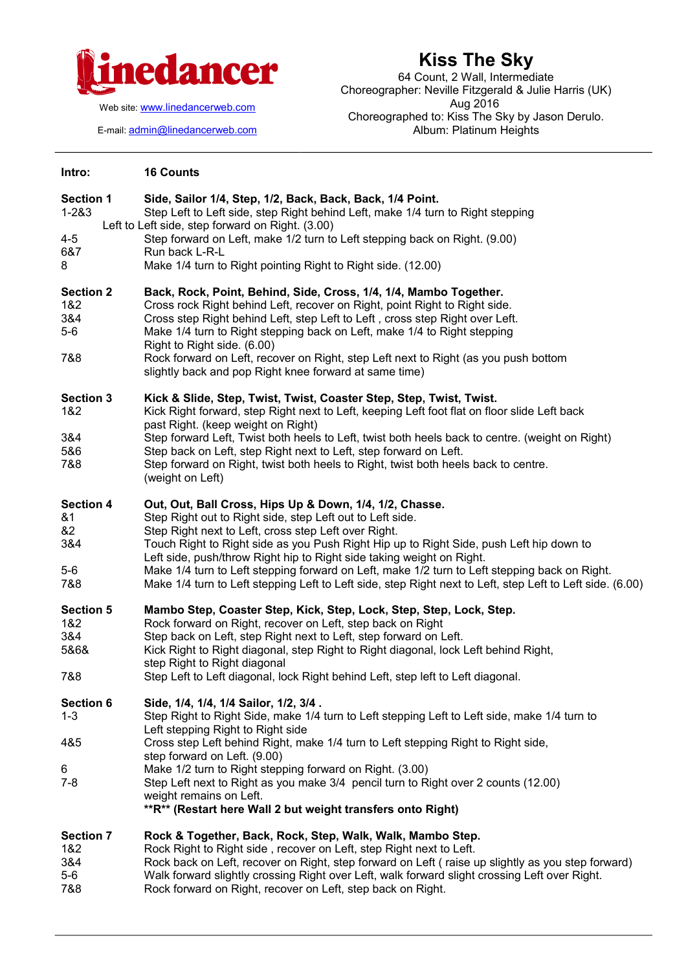

Web site: [www.linedancerweb.com](http://www.linedancermagazine.com/)

E-mail: [admin@linedancerweb.com](mailto:admin@linedancerweb.com)

## **Kiss The Sky**

64 Count, 2 Wall, Intermediate Choreographer: Neville Fitzgerald & Julie Harris (UK) Aug 2016 Choreographed to: Kiss The Sky by Jason Derulo. Album: Platinum Heights

**Intro: 16 Counts Section 1 Side, Sailor 1/4, Step, 1/2, Back, Back, Back, 1/4 Point.** 1-2&3 Step Left to Left side, step Right behind Left, make 1/4 turn to Right stepping Left to Left side, step forward on Right. (3.00) 4-5 Step forward on Left, make 1/2 turn to Left stepping back on Right. (9.00) 6&7 Run back L-R-L 8 Make 1/4 turn to Right pointing Right to Right side. (12.00) **Section 2 Back, Rock, Point, Behind, Side, Cross, 1/4, 1/4, Mambo Together.** 1&2 Cross rock Right behind Left, recover on Right, point Right to Right side. 3&4 Cross step Right behind Left, step Left to Left , cross step Right over Left. 5-6 Make 1/4 turn to Right stepping back on Left, make 1/4 to Right stepping Right to Right side. (6.00) 7&8 Rock forward on Left, recover on Right, step Left next to Right (as you push bottom slightly back and pop Right knee forward at same time) **Section 3 Kick & Slide, Step, Twist, Twist, Coaster Step, Step, Twist, Twist.** 1&2 Kick Right forward, step Right next to Left, keeping Left foot flat on floor slide Left back past Right. (keep weight on Right) 3&4 Step forward Left, Twist both heels to Left, twist both heels back to centre. (weight on Right) 5&6 Step back on Left, step Right next to Left, step forward on Left. 7&8 Step forward on Right, twist both heels to Right, twist both heels back to centre. (weight on Left) **Section 4 Out, Out, Ball Cross, Hips Up & Down, 1/4, 1/2, Chasse.**  &1 Step Right out to Right side, step Left out to Left side. &2 Step Right next to Left, cross step Left over Right. 3&4 Touch Right to Right side as you Push Right Hip up to Right Side, push Left hip down to Left side, push/throw Right hip to Right side taking weight on Right. 5-6 Make 1/4 turn to Left stepping forward on Left, make 1/2 turn to Left stepping back on Right. 7&8 Make 1/4 turn to Left stepping Left to Left side, step Right next to Left, step Left to Left side. (6.00) **Section 5 Mambo Step, Coaster Step, Kick, Step, Lock, Step, Step, Lock, Step.** 1&2 Rock forward on Right, recover on Left, step back on Right 3&4 Step back on Left, step Right next to Left, step forward on Left. 5&6& Kick Right to Right diagonal, step Right to Right diagonal, lock Left behind Right, step Right to Right diagonal 7&8 Step Left to Left diagonal, lock Right behind Left, step left to Left diagonal. **Section 6 Side, 1/4, 1/4, 1/4 Sailor, 1/2, 3/4 .** 1-3 Step Right to Right Side, make 1/4 turn to Left stepping Left to Left side, make 1/4 turn to Left stepping Right to Right side 4&5 Cross step Left behind Right, make 1/4 turn to Left stepping Right to Right side, step forward on Left. (9.00) 6 Make 1/2 turn to Right stepping forward on Right. (3.00) 7-8 Step Left next to Right as you make 3/4 pencil turn to Right over 2 counts (12.00) weight remains on Left. **\*\*R\*\* (Restart here Wall 2 but weight transfers onto Right) Section 7 Rock & Together, Back, Rock, Step, Walk, Walk, Mambo Step.** 1&2 Rock Right to Right side , recover on Left, step Right next to Left. 3&4 Rock back on Left, recover on Right, step forward on Left ( raise up slightly as you step forward) 5-6 Walk forward slightly crossing Right over Left, walk forward slight crossing Left over Right.

7&8 Rock forward on Right, recover on Left, step back on Right.